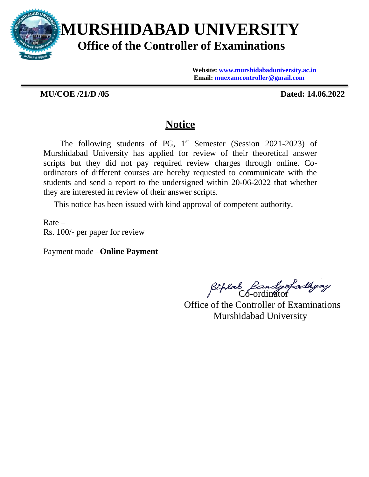

**Website: [www.murshidabaduniversity.ac.in](http://www.murshidabaduniversity.ac.in/) Email: [muexamcontroller@gmail.com](mailto:muexamcontroller@gmail.com)**

**MU/COE /21/D /05 Dated: 14.06.2022**

## **Notice**

The following students of PG,  $1<sup>st</sup>$  Semester (Session 2021-2023) of Murshidabad University has applied for review of their theoretical answer scripts but they did not pay required review charges through online. Coordinators of different courses are hereby requested to communicate with the students and send a report to the undersigned within 20-06-2022 that whether they are interested in review of their answer scripts.

This notice has been issued with kind approval of competent authority.

 $Rate -$ Rs. 100/- per paper for review

Payment mode –**Online Payment**

Riplab Bandysfadhyay

Office of the Controller of Examinations Murshidabad University